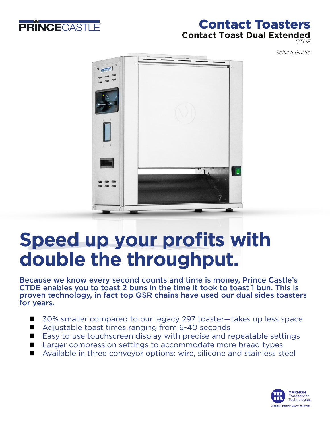

## Contact Toasters **Contact Toast Dual Extended**  *CTDE*

*Selling Guide*



# **Speed up your profits with double the throughput.**

Because we know every second counts and time is money, Prince Castle's CTDE enables you to toast 2 buns in the time it took to toast 1 bun. This is proven technology, in fact top QSR chains have used our dual sides toasters for years.

- 30% smaller compared to our legacy 297 toaster-takes up less space
- $\blacksquare$  Adjustable toast times ranging from 6-40 seconds
- $\blacksquare$  Easy to use touchscreen display with precise and repeatable settings
- $\blacksquare$  Larger compression settings to accommodate more bread types
- Available in three convevor options: wire, silicone and stainless steel